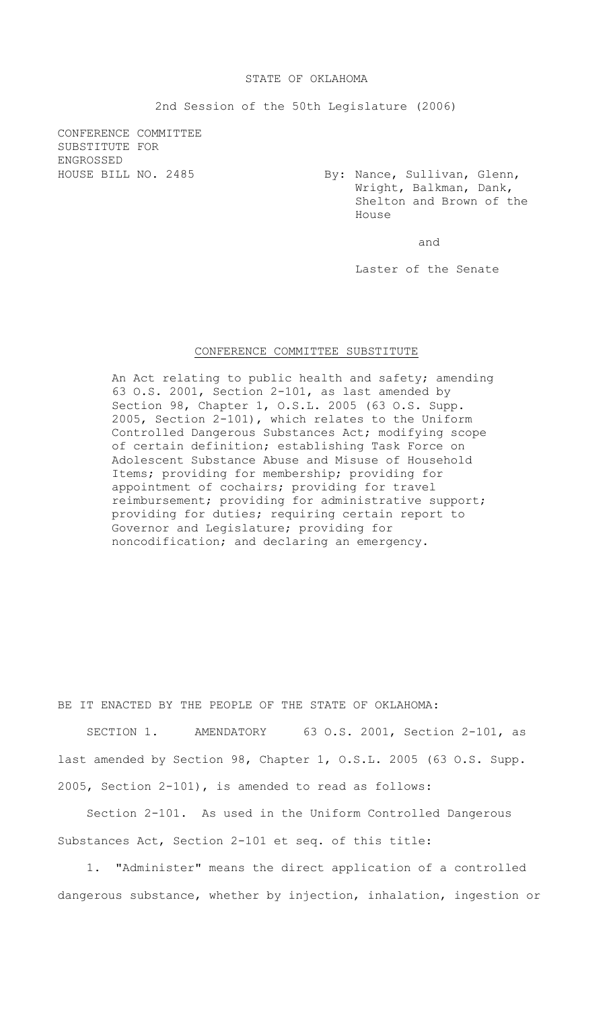## STATE OF OKLAHOMA

2nd Session of the 50th Legislature (2006)

CONFERENCE COMMITTEE SUBSTITUTE FOR ENGROSSED

HOUSE BILL NO. 2485 By: Nance, Sullivan, Glenn, Wright, Balkman, Dank, Shelton and Brown of the House

and

Laster of the Senate

## CONFERENCE COMMITTEE SUBSTITUTE

An Act relating to public health and safety; amending 63 O.S. 2001, Section 2-101, as last amended by Section 98, Chapter 1, O.S.L. 2005 (63 O.S. Supp. 2005, Section 2-101), which relates to the Uniform Controlled Dangerous Substances Act; modifying scope of certain definition; establishing Task Force on Adolescent Substance Abuse and Misuse of Household Items; providing for membership; providing for appointment of cochairs; providing for travel reimbursement; providing for administrative support; providing for duties; requiring certain report to Governor and Legislature; providing for noncodification; and declaring an emergency.

BE IT ENACTED BY THE PEOPLE OF THE STATE OF OKLAHOMA:

SECTION 1. AMENDATORY 63 O.S. 2001, Section 2-101, as last amended by Section 98, Chapter 1, O.S.L. 2005 (63 O.S. Supp. 2005, Section 2-101), is amended to read as follows:

Section 2-101. As used in the Uniform Controlled Dangerous Substances Act, Section 2-101 et seq. of this title:

1. "Administer" means the direct application of a controlled dangerous substance, whether by injection, inhalation, ingestion or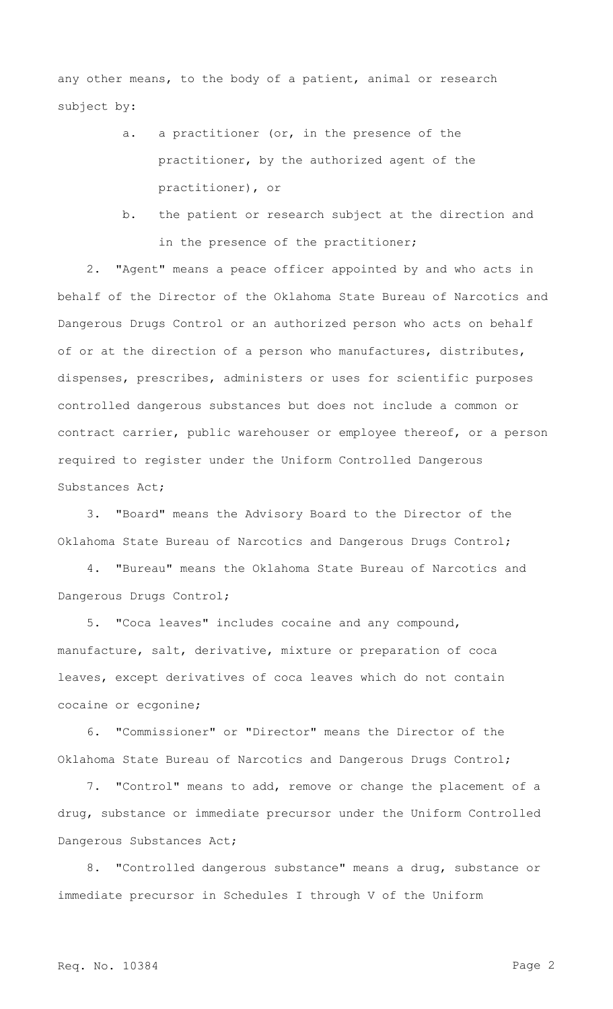any other means, to the body of a patient, animal or research subject by:

- a. a practitioner (or, in the presence of the practitioner, by the authorized agent of the practitioner), or
- b. the patient or research subject at the direction and in the presence of the practitioner;

2. "Agent" means a peace officer appointed by and who acts in behalf of the Director of the Oklahoma State Bureau of Narcotics and Dangerous Drugs Control or an authorized person who acts on behalf of or at the direction of a person who manufactures, distributes, dispenses, prescribes, administers or uses for scientific purposes controlled dangerous substances but does not include a common or contract carrier, public warehouser or employee thereof, or a person required to register under the Uniform Controlled Dangerous Substances Act;

3. "Board" means the Advisory Board to the Director of the Oklahoma State Bureau of Narcotics and Dangerous Drugs Control;

4. "Bureau" means the Oklahoma State Bureau of Narcotics and Dangerous Drugs Control;

5. "Coca leaves" includes cocaine and any compound, manufacture, salt, derivative, mixture or preparation of coca leaves, except derivatives of coca leaves which do not contain cocaine or ecgonine;

6. "Commissioner" or "Director" means the Director of the Oklahoma State Bureau of Narcotics and Dangerous Drugs Control;

7. "Control" means to add, remove or change the placement of a drug, substance or immediate precursor under the Uniform Controlled Dangerous Substances Act;

8. "Controlled dangerous substance" means a drug, substance or immediate precursor in Schedules I through V of the Uniform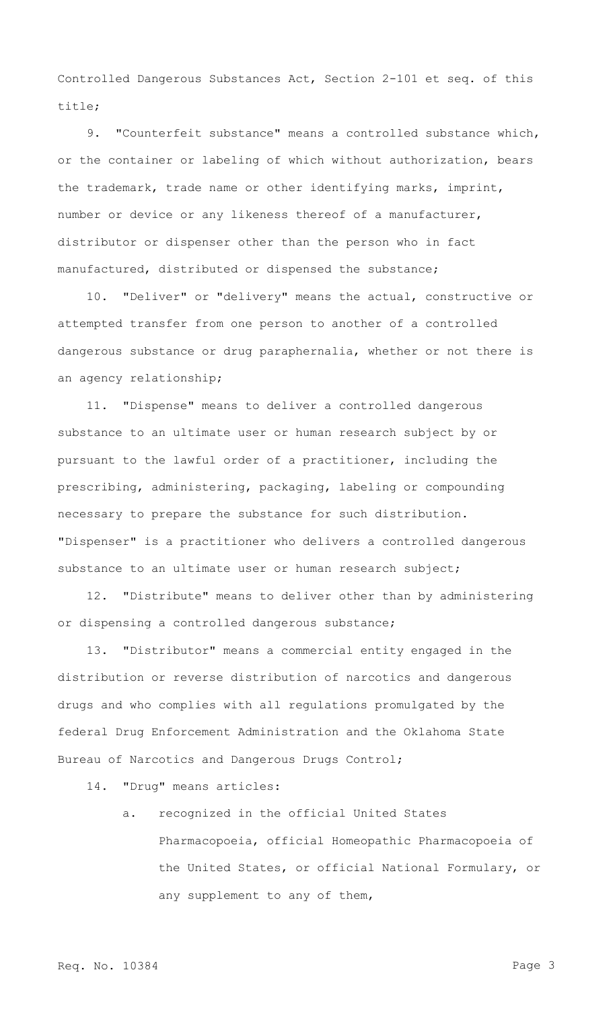Controlled Dangerous Substances Act, Section 2-101 et seq. of this title;

9. "Counterfeit substance" means a controlled substance which, or the container or labeling of which without authorization, bears the trademark, trade name or other identifying marks, imprint, number or device or any likeness thereof of a manufacturer, distributor or dispenser other than the person who in fact manufactured, distributed or dispensed the substance;

10. "Deliver" or "delivery" means the actual, constructive or attempted transfer from one person to another of a controlled dangerous substance or drug paraphernalia, whether or not there is an agency relationship;

11. "Dispense" means to deliver a controlled dangerous substance to an ultimate user or human research subject by or pursuant to the lawful order of a practitioner, including the prescribing, administering, packaging, labeling or compounding necessary to prepare the substance for such distribution. "Dispenser" is a practitioner who delivers a controlled dangerous substance to an ultimate user or human research subject;

12. "Distribute" means to deliver other than by administering or dispensing a controlled dangerous substance;

13. "Distributor" means a commercial entity engaged in the distribution or reverse distribution of narcotics and dangerous drugs and who complies with all regulations promulgated by the federal Drug Enforcement Administration and the Oklahoma State Bureau of Narcotics and Dangerous Drugs Control;

- 14. "Drug" means articles:
	- a. recognized in the official United States Pharmacopoeia, official Homeopathic Pharmacopoeia of the United States, or official National Formulary, or any supplement to any of them,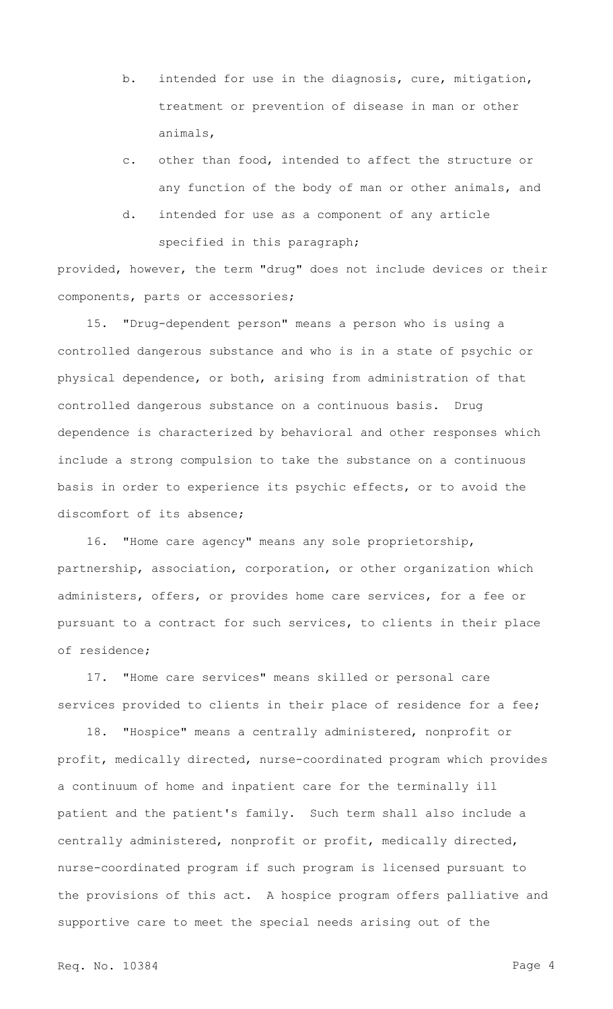- b. intended for use in the diagnosis, cure, mitigation, treatment or prevention of disease in man or other animals,
- c. other than food, intended to affect the structure or any function of the body of man or other animals, and
- d. intended for use as a component of any article specified in this paragraph;

provided, however, the term "drug" does not include devices or their components, parts or accessories;

15. "Drug-dependent person" means a person who is using a controlled dangerous substance and who is in a state of psychic or physical dependence, or both, arising from administration of that controlled dangerous substance on a continuous basis. Drug dependence is characterized by behavioral and other responses which include a strong compulsion to take the substance on a continuous basis in order to experience its psychic effects, or to avoid the discomfort of its absence;

16. "Home care agency" means any sole proprietorship, partnership, association, corporation, or other organization which administers, offers, or provides home care services, for a fee or pursuant to a contract for such services, to clients in their place of residence;

17. "Home care services" means skilled or personal care services provided to clients in their place of residence for a fee;

18. "Hospice" means a centrally administered, nonprofit or profit, medically directed, nurse-coordinated program which provides a continuum of home and inpatient care for the terminally ill patient and the patient's family. Such term shall also include a centrally administered, nonprofit or profit, medically directed, nurse-coordinated program if such program is licensed pursuant to the provisions of this act. A hospice program offers palliative and supportive care to meet the special needs arising out of the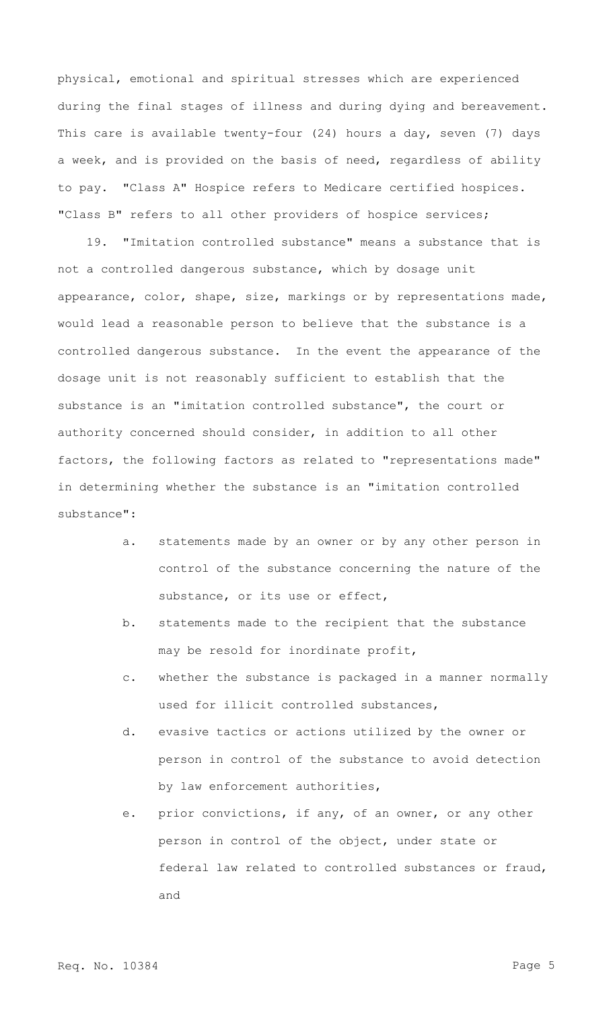physical, emotional and spiritual stresses which are experienced during the final stages of illness and during dying and bereavement. This care is available twenty-four (24) hours a day, seven (7) days a week, and is provided on the basis of need, regardless of ability to pay. "Class A" Hospice refers to Medicare certified hospices. "Class B" refers to all other providers of hospice services;

19. "Imitation controlled substance" means a substance that is not a controlled dangerous substance, which by dosage unit appearance, color, shape, size, markings or by representations made, would lead a reasonable person to believe that the substance is a controlled dangerous substance. In the event the appearance of the dosage unit is not reasonably sufficient to establish that the substance is an "imitation controlled substance", the court or authority concerned should consider, in addition to all other factors, the following factors as related to "representations made" in determining whether the substance is an "imitation controlled substance":

- a. statements made by an owner or by any other person in control of the substance concerning the nature of the substance, or its use or effect,
- b. statements made to the recipient that the substance may be resold for inordinate profit,
- c. whether the substance is packaged in a manner normally used for illicit controlled substances,
- d. evasive tactics or actions utilized by the owner or person in control of the substance to avoid detection by law enforcement authorities,
- e. prior convictions, if any, of an owner, or any other person in control of the object, under state or federal law related to controlled substances or fraud, and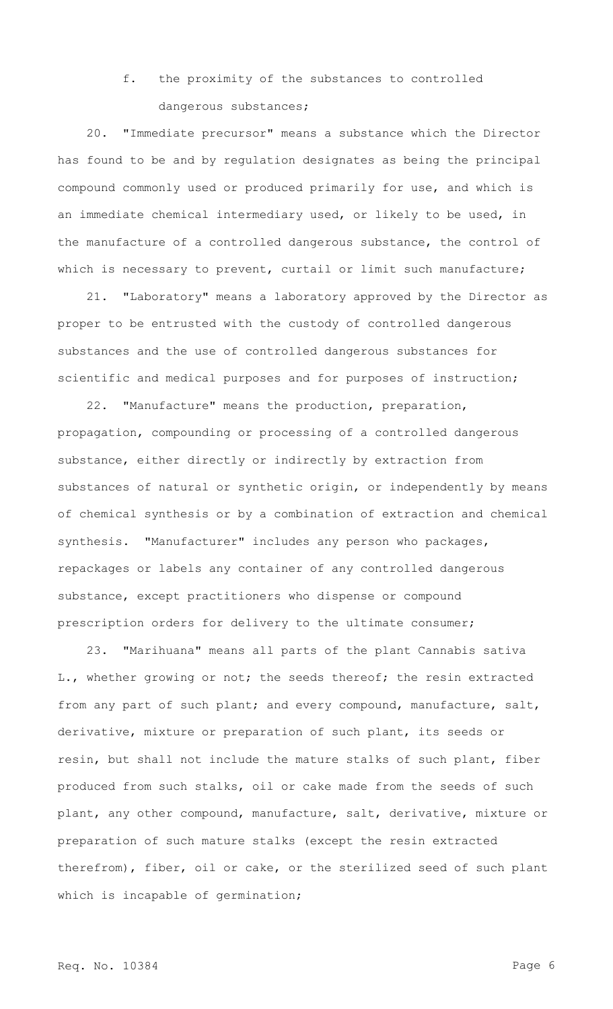## f. the proximity of the substances to controlled dangerous substances;

20. "Immediate precursor" means a substance which the Director has found to be and by regulation designates as being the principal compound commonly used or produced primarily for use, and which is an immediate chemical intermediary used, or likely to be used, in the manufacture of a controlled dangerous substance, the control of which is necessary to prevent, curtail or limit such manufacture;

21. "Laboratory" means a laboratory approved by the Director as proper to be entrusted with the custody of controlled dangerous substances and the use of controlled dangerous substances for scientific and medical purposes and for purposes of instruction;

22. "Manufacture" means the production, preparation, propagation, compounding or processing of a controlled dangerous substance, either directly or indirectly by extraction from substances of natural or synthetic origin, or independently by means of chemical synthesis or by a combination of extraction and chemical synthesis. "Manufacturer" includes any person who packages, repackages or labels any container of any controlled dangerous substance, except practitioners who dispense or compound prescription orders for delivery to the ultimate consumer;

23. "Marihuana" means all parts of the plant Cannabis sativa L., whether growing or not; the seeds thereof; the resin extracted from any part of such plant; and every compound, manufacture, salt, derivative, mixture or preparation of such plant, its seeds or resin, but shall not include the mature stalks of such plant, fiber produced from such stalks, oil or cake made from the seeds of such plant, any other compound, manufacture, salt, derivative, mixture or preparation of such mature stalks (except the resin extracted therefrom), fiber, oil or cake, or the sterilized seed of such plant which is incapable of germination;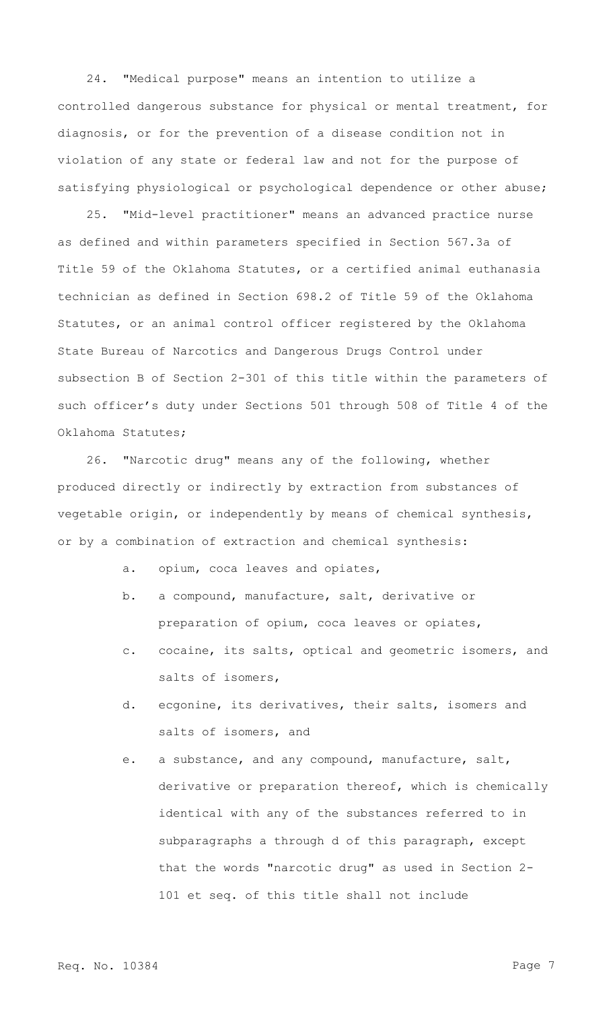24. "Medical purpose" means an intention to utilize a controlled dangerous substance for physical or mental treatment, for diagnosis, or for the prevention of a disease condition not in violation of any state or federal law and not for the purpose of satisfying physiological or psychological dependence or other abuse;

25. "Mid-level practitioner" means an advanced practice nurse as defined and within parameters specified in Section 567.3a of Title 59 of the Oklahoma Statutes, or a certified animal euthanasia technician as defined in Section 698.2 of Title 59 of the Oklahoma Statutes, or an animal control officer registered by the Oklahoma State Bureau of Narcotics and Dangerous Drugs Control under subsection B of Section 2-301 of this title within the parameters of such officer's duty under Sections 501 through 508 of Title 4 of the Oklahoma Statutes;

26. "Narcotic drug" means any of the following, whether produced directly or indirectly by extraction from substances of vegetable origin, or independently by means of chemical synthesis, or by a combination of extraction and chemical synthesis:

- a. opium, coca leaves and opiates,
- b. a compound, manufacture, salt, derivative or preparation of opium, coca leaves or opiates,
- c. cocaine, its salts, optical and geometric isomers, and salts of isomers,
- d. ecgonine, its derivatives, their salts, isomers and salts of isomers, and
- e. a substance, and any compound, manufacture, salt, derivative or preparation thereof, which is chemically identical with any of the substances referred to in subparagraphs a through d of this paragraph, except that the words "narcotic drug" as used in Section 2- 101 et seq. of this title shall not include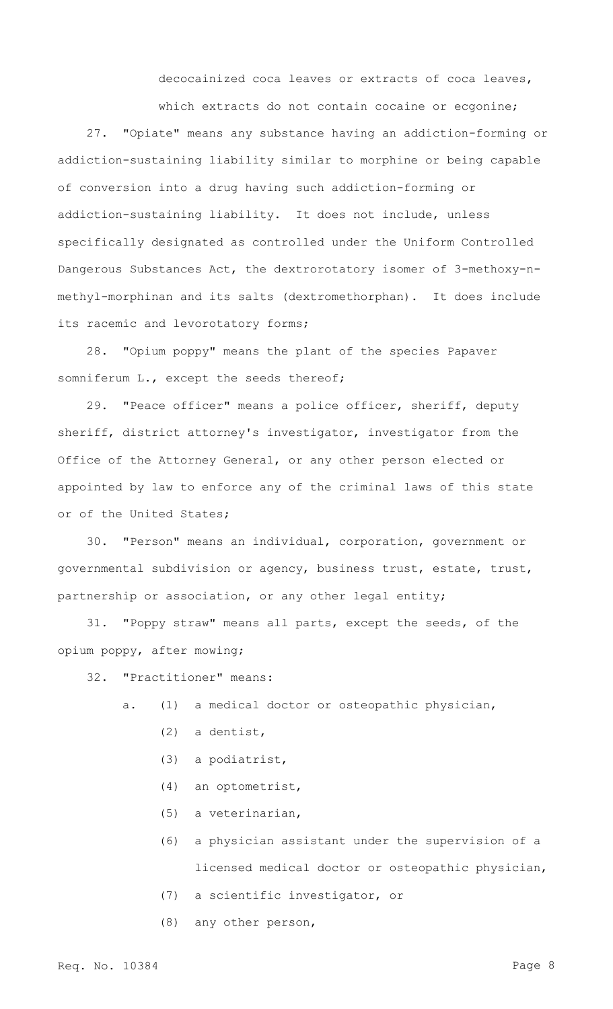decocainized coca leaves or extracts of coca leaves,

which extracts do not contain cocaine or ecgonine;

27. "Opiate" means any substance having an addiction-forming or addiction-sustaining liability similar to morphine or being capable of conversion into a drug having such addiction-forming or addiction-sustaining liability. It does not include, unless specifically designated as controlled under the Uniform Controlled Dangerous Substances Act, the dextrorotatory isomer of 3-methoxy-nmethyl-morphinan and its salts (dextromethorphan). It does include its racemic and levorotatory forms;

28. "Opium poppy" means the plant of the species Papaver somniferum L., except the seeds thereof;

29. "Peace officer" means a police officer, sheriff, deputy sheriff, district attorney's investigator, investigator from the Office of the Attorney General, or any other person elected or appointed by law to enforce any of the criminal laws of this state or of the United States;

30. "Person" means an individual, corporation, government or governmental subdivision or agency, business trust, estate, trust, partnership or association, or any other legal entity;

31. "Poppy straw" means all parts, except the seeds, of the opium poppy, after mowing;

32. "Practitioner" means:

- a. (1) a medical doctor or osteopathic physician,
	- (2) a dentist,
	- (3) a podiatrist,
	- (4) an optometrist,
	- (5) a veterinarian,
	- (6) a physician assistant under the supervision of a licensed medical doctor or osteopathic physician,
	- (7) a scientific investigator, or
	- (8) any other person,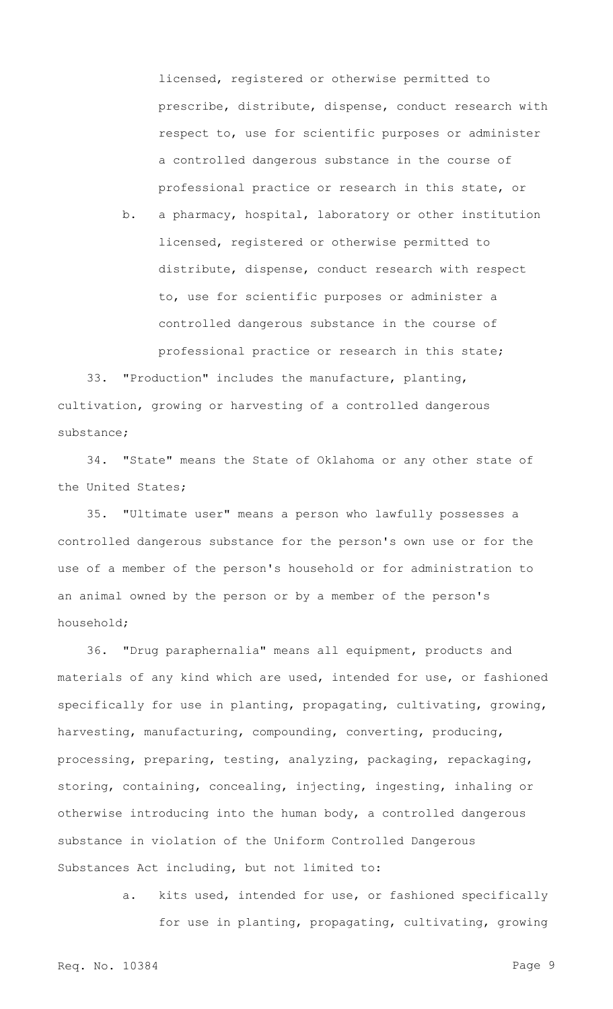licensed, registered or otherwise permitted to prescribe, distribute, dispense, conduct research with respect to, use for scientific purposes or administer a controlled dangerous substance in the course of professional practice or research in this state, or

b. a pharmacy, hospital, laboratory or other institution licensed, registered or otherwise permitted to distribute, dispense, conduct research with respect to, use for scientific purposes or administer a controlled dangerous substance in the course of professional practice or research in this state;

33. "Production" includes the manufacture, planting, cultivation, growing or harvesting of a controlled dangerous substance;

34. "State" means the State of Oklahoma or any other state of the United States;

35. "Ultimate user" means a person who lawfully possesses a controlled dangerous substance for the person's own use or for the use of a member of the person's household or for administration to an animal owned by the person or by a member of the person's household;

36. "Drug paraphernalia" means all equipment, products and materials of any kind which are used, intended for use, or fashioned specifically for use in planting, propagating, cultivating, growing, harvesting, manufacturing, compounding, converting, producing, processing, preparing, testing, analyzing, packaging, repackaging, storing, containing, concealing, injecting, ingesting, inhaling or otherwise introducing into the human body, a controlled dangerous substance in violation of the Uniform Controlled Dangerous Substances Act including, but not limited to:

> a. kits used, intended for use, or fashioned specifically for use in planting, propagating, cultivating, growing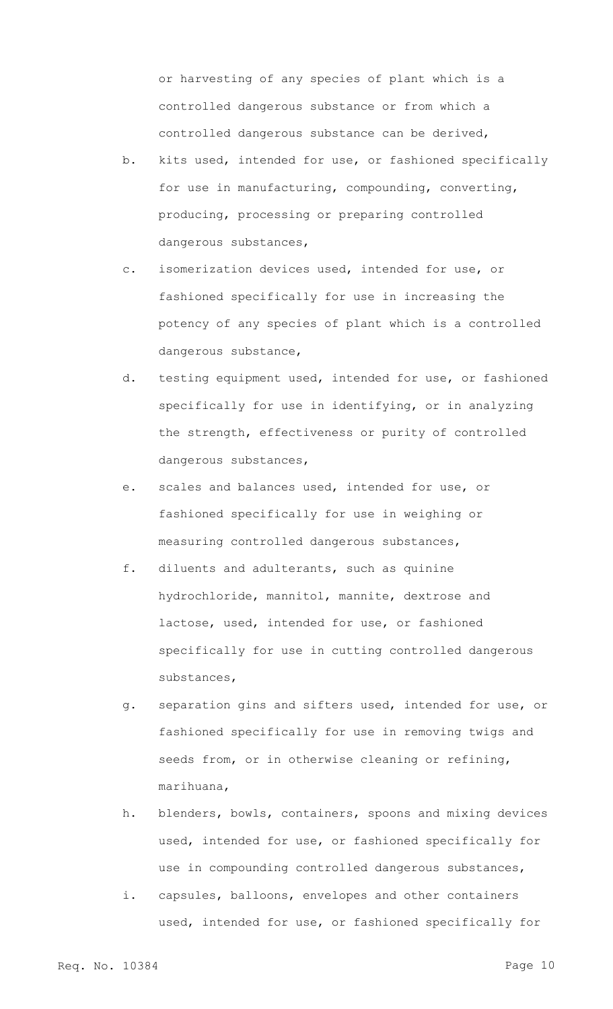or harvesting of any species of plant which is a controlled dangerous substance or from which a controlled dangerous substance can be derived,

- b. kits used, intended for use, or fashioned specifically for use in manufacturing, compounding, converting, producing, processing or preparing controlled dangerous substances,
- c. isomerization devices used, intended for use, or fashioned specifically for use in increasing the potency of any species of plant which is a controlled dangerous substance,
- d. testing equipment used, intended for use, or fashioned specifically for use in identifying, or in analyzing the strength, effectiveness or purity of controlled dangerous substances,
- e. scales and balances used, intended for use, or fashioned specifically for use in weighing or measuring controlled dangerous substances,
- f. diluents and adulterants, such as quinine hydrochloride, mannitol, mannite, dextrose and lactose, used, intended for use, or fashioned specifically for use in cutting controlled dangerous substances,
- g. separation gins and sifters used, intended for use, or fashioned specifically for use in removing twigs and seeds from, or in otherwise cleaning or refining, marihuana,
- h. blenders, bowls, containers, spoons and mixing devices used, intended for use, or fashioned specifically for use in compounding controlled dangerous substances,
- i. capsules, balloons, envelopes and other containers used, intended for use, or fashioned specifically for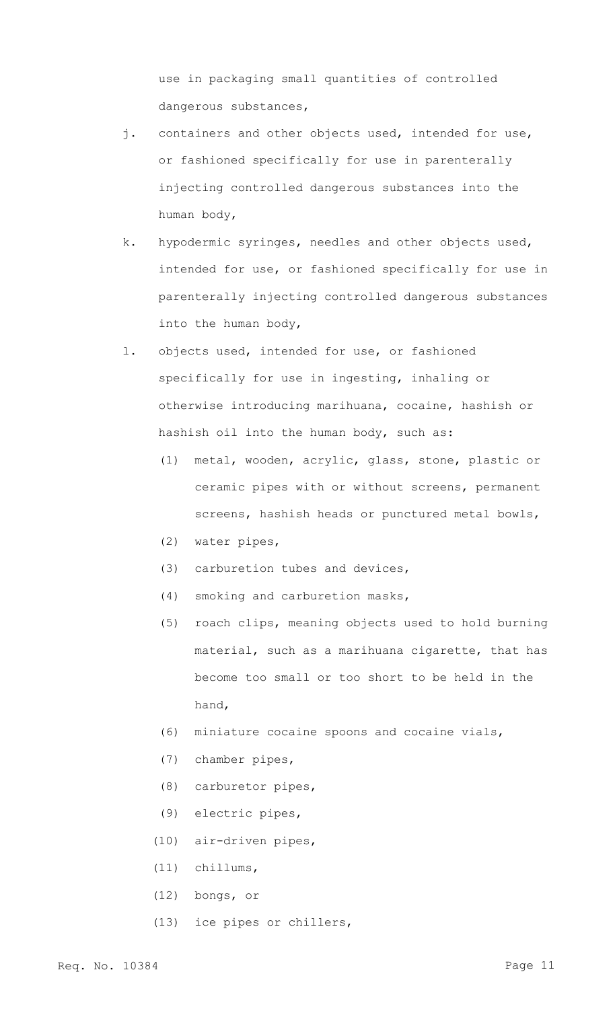use in packaging small quantities of controlled dangerous substances,

- j. containers and other objects used, intended for use, or fashioned specifically for use in parenterally injecting controlled dangerous substances into the human body,
- k. hypodermic syringes, needles and other objects used, intended for use, or fashioned specifically for use in parenterally injecting controlled dangerous substances into the human body,
- l. objects used, intended for use, or fashioned specifically for use in ingesting, inhaling or otherwise introducing marihuana, cocaine, hashish or hashish oil into the human body, such as:
	- (1) metal, wooden, acrylic, glass, stone, plastic or ceramic pipes with or without screens, permanent screens, hashish heads or punctured metal bowls,
	- (2) water pipes,
	- (3) carburetion tubes and devices,
	- (4) smoking and carburetion masks,
	- (5) roach clips, meaning objects used to hold burning material, such as a marihuana cigarette, that has become too small or too short to be held in the hand,
	- (6) miniature cocaine spoons and cocaine vials,
	- (7) chamber pipes,
	- (8) carburetor pipes,
	- (9) electric pipes,
	- (10) air-driven pipes,
	- (11) chillums,
	- (12) bongs, or
	- (13) ice pipes or chillers,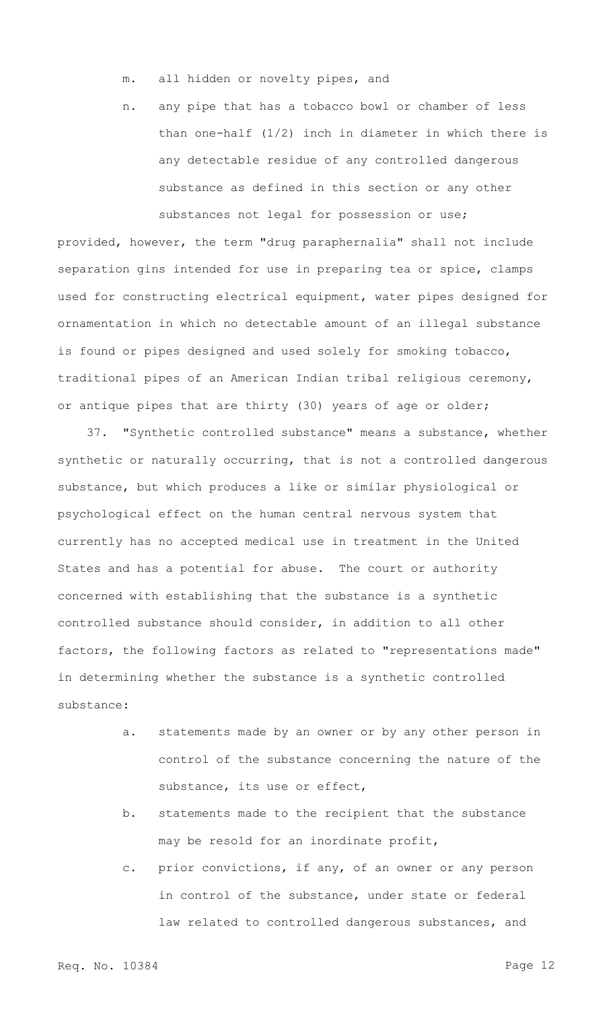- m. all hidden or novelty pipes, and
- n. any pipe that has a tobacco bowl or chamber of less than one-half (1/2) inch in diameter in which there is any detectable residue of any controlled dangerous substance as defined in this section or any other substances not legal for possession or use;

provided, however, the term "drug paraphernalia" shall not include separation gins intended for use in preparing tea or spice, clamps used for constructing electrical equipment, water pipes designed for ornamentation in which no detectable amount of an illegal substance is found or pipes designed and used solely for smoking tobacco, traditional pipes of an American Indian tribal religious ceremony, or antique pipes that are thirty (30) years of age or older;

37. "Synthetic controlled substance" means a substance, whether synthetic or naturally occurring, that is not a controlled dangerous substance, but which produces a like or similar physiological or psychological effect on the human central nervous system that currently has no accepted medical use in treatment in the United States and has a potential for abuse. The court or authority concerned with establishing that the substance is a synthetic controlled substance should consider, in addition to all other factors, the following factors as related to "representations made" in determining whether the substance is a synthetic controlled substance:

- a. statements made by an owner or by any other person in control of the substance concerning the nature of the substance, its use or effect,
- b. statements made to the recipient that the substance may be resold for an inordinate profit,
- c. prior convictions, if any, of an owner or any person in control of the substance, under state or federal law related to controlled dangerous substances, and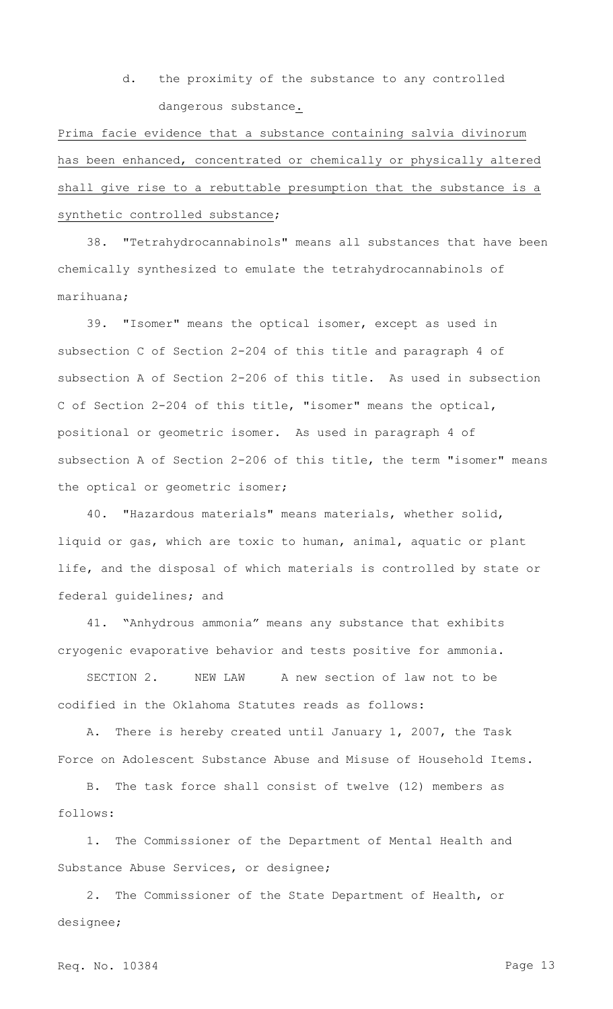d. the proximity of the substance to any controlled dangerous substance.

Prima facie evidence that a substance containing salvia divinorum has been enhanced, concentrated or chemically or physically altered shall give rise to a rebuttable presumption that the substance is a synthetic controlled substance;

38. "Tetrahydrocannabinols" means all substances that have been chemically synthesized to emulate the tetrahydrocannabinols of marihuana;

39. "Isomer" means the optical isomer, except as used in subsection C of Section 2-204 of this title and paragraph 4 of subsection A of Section 2-206 of this title. As used in subsection C of Section 2-204 of this title, "isomer" means the optical, positional or geometric isomer. As used in paragraph 4 of subsection A of Section 2-206 of this title, the term "isomer" means the optical or geometric isomer;

40. "Hazardous materials" means materials, whether solid, liquid or gas, which are toxic to human, animal, aquatic or plant life, and the disposal of which materials is controlled by state or federal guidelines; and

41. "Anhydrous ammonia" means any substance that exhibits cryogenic evaporative behavior and tests positive for ammonia.

SECTION 2. NEW LAW A new section of law not to be codified in the Oklahoma Statutes reads as follows:

A. There is hereby created until January 1, 2007, the Task Force on Adolescent Substance Abuse and Misuse of Household Items.

B. The task force shall consist of twelve (12) members as follows:

1. The Commissioner of the Department of Mental Health and Substance Abuse Services, or designee;

2. The Commissioner of the State Department of Health, or designee;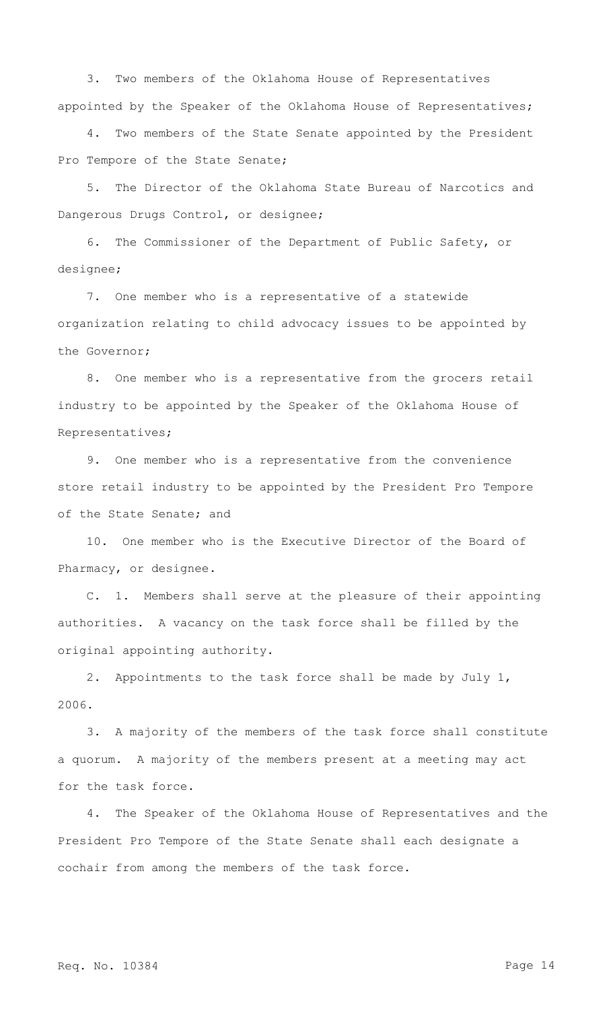3. Two members of the Oklahoma House of Representatives appointed by the Speaker of the Oklahoma House of Representatives;

4. Two members of the State Senate appointed by the President Pro Tempore of the State Senate;

5. The Director of the Oklahoma State Bureau of Narcotics and Dangerous Drugs Control, or designee;

6. The Commissioner of the Department of Public Safety, or designee;

7. One member who is a representative of a statewide organization relating to child advocacy issues to be appointed by the Governor;

8. One member who is a representative from the grocers retail industry to be appointed by the Speaker of the Oklahoma House of Representatives;

9. One member who is a representative from the convenience store retail industry to be appointed by the President Pro Tempore of the State Senate; and

10. One member who is the Executive Director of the Board of Pharmacy, or designee.

C. 1. Members shall serve at the pleasure of their appointing authorities. A vacancy on the task force shall be filled by the original appointing authority.

2. Appointments to the task force shall be made by July 1, 2006.

3. A majority of the members of the task force shall constitute a quorum. A majority of the members present at a meeting may act for the task force.

4. The Speaker of the Oklahoma House of Representatives and the President Pro Tempore of the State Senate shall each designate a cochair from among the members of the task force.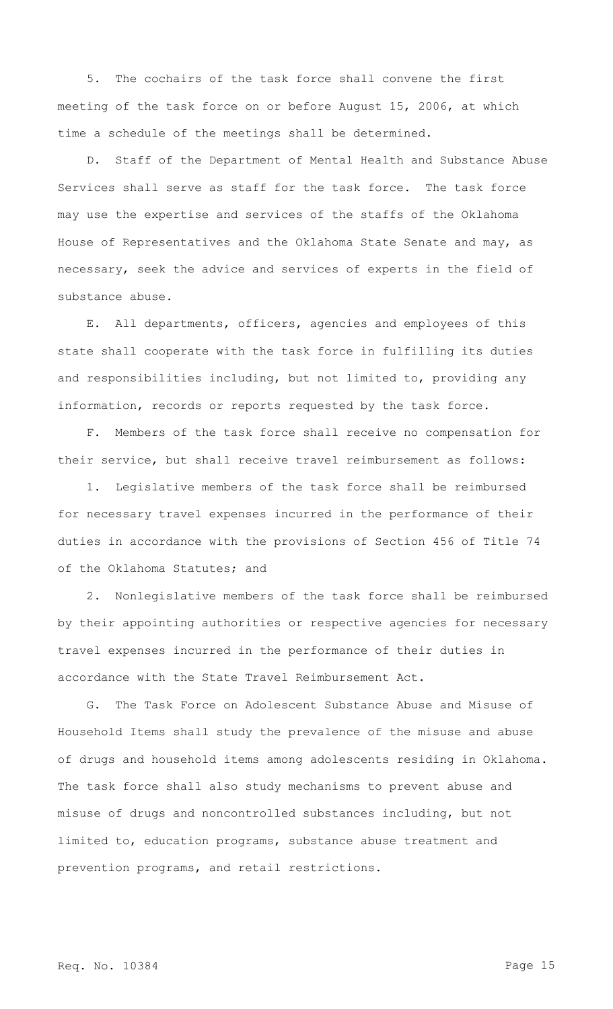5. The cochairs of the task force shall convene the first meeting of the task force on or before August 15, 2006, at which time a schedule of the meetings shall be determined.

D. Staff of the Department of Mental Health and Substance Abuse Services shall serve as staff for the task force. The task force may use the expertise and services of the staffs of the Oklahoma House of Representatives and the Oklahoma State Senate and may, as necessary, seek the advice and services of experts in the field of substance abuse.

E. All departments, officers, agencies and employees of this state shall cooperate with the task force in fulfilling its duties and responsibilities including, but not limited to, providing any information, records or reports requested by the task force.

F. Members of the task force shall receive no compensation for their service, but shall receive travel reimbursement as follows:

1. Legislative members of the task force shall be reimbursed for necessary travel expenses incurred in the performance of their duties in accordance with the provisions of Section 456 of Title 74 of the Oklahoma Statutes; and

2. Nonlegislative members of the task force shall be reimbursed by their appointing authorities or respective agencies for necessary travel expenses incurred in the performance of their duties in accordance with the State Travel Reimbursement Act.

G. The Task Force on Adolescent Substance Abuse and Misuse of Household Items shall study the prevalence of the misuse and abuse of drugs and household items among adolescents residing in Oklahoma. The task force shall also study mechanisms to prevent abuse and misuse of drugs and noncontrolled substances including, but not limited to, education programs, substance abuse treatment and prevention programs, and retail restrictions.